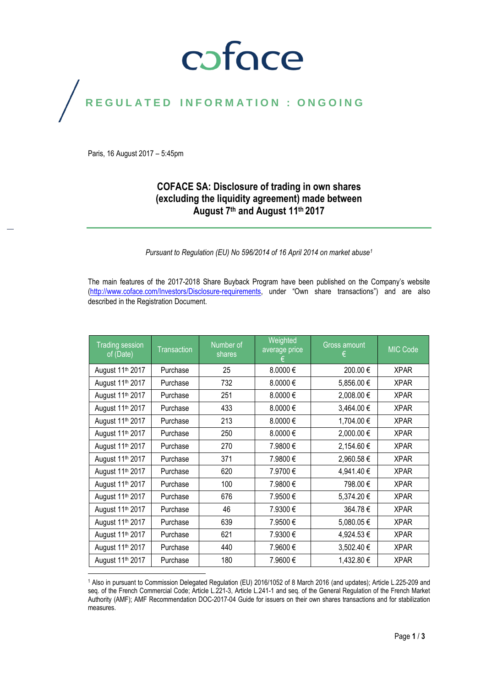## coface

## REGULATED INFORMATION : ONGOING

Paris, 16 August 2017 – 5:45pm

#### **COFACE SA: Disclosure of trading in own shares (excluding the liquidity agreement) made between August 7th and August 11th 2017**

*Pursuant to Regulation (EU) No 596/2014 of 16 April 2014 on market abuse<sup>1</sup>*

The main features of the 2017-2018 Share Buyback Program have been published on the Company's website [\(http://www.coface.com/Investors/Disclosure-requirements](http://www.coface.com/Investors/Disclosure-requirements), under "Own share transactions") and are also described in the Registration Document.

| <b>Trading session</b><br>of (Date) | <b>Transaction</b> | Number of<br>shares | Weighted<br>average price | Gross amount<br>€ | <b>MIC Code</b> |
|-------------------------------------|--------------------|---------------------|---------------------------|-------------------|-----------------|
| August 11 <sup>th</sup> 2017        | Purchase           | 25                  | 8.0000€                   | 200.00€           | <b>XPAR</b>     |
| August 11 <sup>th</sup> 2017        | Purchase           | 732                 | 8.0000€                   | 5,856.00 €        | <b>XPAR</b>     |
| August 11 <sup>th</sup> 2017        | Purchase           | 251                 | 8.0000€                   | 2,008.00 €        | <b>XPAR</b>     |
| August 11 <sup>th</sup> 2017        | Purchase           | 433                 | 8.0000€                   | 3,464.00 €        | <b>XPAR</b>     |
| August 11 <sup>th</sup> 2017        | Purchase           | 213                 | 8.0000€                   | 1,704.00 €        | <b>XPAR</b>     |
| August 11 <sup>th</sup> 2017        | Purchase           | 250                 | 8.0000€                   | 2,000.00 €        | <b>XPAR</b>     |
| August 11 <sup>th</sup> 2017        | Purchase           | 270                 | 7.9800€                   | 2,154.60 €        | <b>XPAR</b>     |
| August 11 <sup>th</sup> 2017        | Purchase           | 371                 | 7.9800€                   | 2,960.58€         | <b>XPAR</b>     |
| August 11 <sup>th</sup> 2017        | Purchase           | 620                 | 7.9700€                   | 4,941.40 €        | <b>XPAR</b>     |
| August 11 <sup>th</sup> 2017        | Purchase           | 100                 | 7.9800€                   | 798.00€           | <b>XPAR</b>     |
| August 11 <sup>th</sup> 2017        | Purchase           | 676                 | 7.9500€                   | 5,374.20€         | <b>XPAR</b>     |
| August 11 <sup>th</sup> 2017        | Purchase           | 46                  | 7.9300€                   | 364.78€           | <b>XPAR</b>     |
| August 11 <sup>th</sup> 2017        | Purchase           | 639                 | 7.9500€                   | 5,080.05€         | <b>XPAR</b>     |
| August 11 <sup>th</sup> 2017        | Purchase           | 621                 | 7.9300€                   | 4,924.53 €        | <b>XPAR</b>     |
| August 11 <sup>th</sup> 2017        | Purchase           | 440                 | 7.9600€                   | 3,502.40 €        | <b>XPAR</b>     |
| August 11 <sup>th</sup> 2017        | Purchase           | 180                 | 7.9600€                   | 1,432.80 €        | <b>XPAR</b>     |

 $\overline{a}$ <sup>1</sup> Also in pursuant to Commission Delegated Regulation (EU) 2016/1052 of 8 March 2016 (and updates); Article L.225-209 and seq. of the French Commercial Code; Article L.221-3, Article L.241-1 and seq. of the General Regulation of the French Market Authority (AMF); AMF Recommendation DOC-2017-04 Guide for issuers on their own shares transactions and for stabilization measures.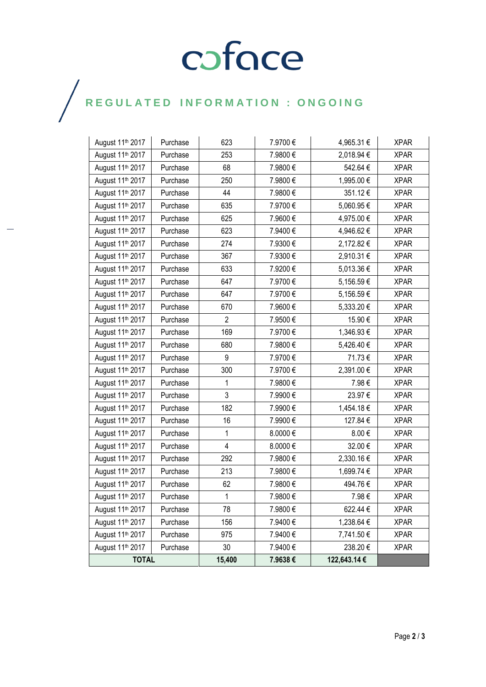# COFOCE

## $\bigg)$

| August 11 <sup>th</sup> 2017 | Purchase | 623                     | 7.9700€ | 4,965.31 €   | <b>XPAR</b> |
|------------------------------|----------|-------------------------|---------|--------------|-------------|
| August 11 <sup>th</sup> 2017 | Purchase | 253                     | 7.9800€ | 2,018.94 €   | <b>XPAR</b> |
| August 11 <sup>th</sup> 2017 | Purchase | 68                      | 7.9800€ | 542.64 €     | <b>XPAR</b> |
| August 11 <sup>th</sup> 2017 | Purchase | 250                     | 7.9800€ | 1,995.00 €   | <b>XPAR</b> |
| August 11 <sup>th</sup> 2017 | Purchase | 44                      | 7.9800€ | 351.12€      | <b>XPAR</b> |
| August 11 <sup>th</sup> 2017 | Purchase | 635                     | 7.9700€ | 5,060.95€    | <b>XPAR</b> |
| August 11 <sup>th</sup> 2017 | Purchase | 625                     | 7.9600€ | 4,975.00€    | <b>XPAR</b> |
| August 11 <sup>th</sup> 2017 | Purchase | 623                     | 7.9400€ | 4,946.62€    | <b>XPAR</b> |
| August 11 <sup>th</sup> 2017 | Purchase | 274                     | 7.9300€ | 2,172.82 €   | <b>XPAR</b> |
| August 11 <sup>th</sup> 2017 | Purchase | 367                     | 7.9300€ | 2,910.31 €   | <b>XPAR</b> |
| August 11 <sup>th</sup> 2017 | Purchase | 633                     | 7.9200€ | 5,013.36 €   | <b>XPAR</b> |
| August 11 <sup>th</sup> 2017 | Purchase | 647                     | 7.9700€ | 5,156.59€    | <b>XPAR</b> |
| August 11 <sup>th</sup> 2017 | Purchase | 647                     | 7.9700€ | 5,156.59€    | <b>XPAR</b> |
| August 11 <sup>th</sup> 2017 | Purchase | 670                     | 7.9600€ | 5,333.20 €   | <b>XPAR</b> |
| August 11 <sup>th</sup> 2017 | Purchase | $\overline{2}$          | 7.9500€ | 15.90€       | <b>XPAR</b> |
| August 11 <sup>th</sup> 2017 | Purchase | 169                     | 7.9700€ | 1,346.93 €   | <b>XPAR</b> |
| August 11 <sup>th</sup> 2017 | Purchase | 680                     | 7.9800€ | 5,426.40 €   | <b>XPAR</b> |
| August 11 <sup>th</sup> 2017 | Purchase | 9                       | 7.9700€ | 71.73€       | <b>XPAR</b> |
| August 11 <sup>th</sup> 2017 | Purchase | 300                     | 7.9700€ | 2,391.00 €   | <b>XPAR</b> |
| August 11 <sup>th</sup> 2017 | Purchase | 1                       | 7.9800€ | 7.98€        | <b>XPAR</b> |
| August 11 <sup>th</sup> 2017 | Purchase | 3                       | 7.9900€ | 23.97€       | <b>XPAR</b> |
| August 11 <sup>th</sup> 2017 | Purchase | 182                     | 7.9900€ | 1,454.18€    | <b>XPAR</b> |
| August 11 <sup>th</sup> 2017 | Purchase | 16                      | 7.9900€ | 127.84 €     | <b>XPAR</b> |
| August 11 <sup>th</sup> 2017 | Purchase | 1                       | 8.0000€ | 8.00€        | <b>XPAR</b> |
| August 11 <sup>th</sup> 2017 | Purchase | $\overline{\mathbf{4}}$ | 8.0000€ | 32.00€       | <b>XPAR</b> |
| August 11 <sup>th</sup> 2017 | Purchase | 292                     | 7.9800€ | 2,330.16€    | <b>XPAR</b> |
| August 11 <sup>th</sup> 2017 | Purchase | 213                     | 7.9800€ | 1,699.74 €   | <b>XPAR</b> |
| August 11 <sup>th</sup> 2017 | Purchase | 62                      | 7.9800€ | 494.76€      | <b>XPAR</b> |
| August 11 <sup>th</sup> 2017 | Purchase | $\mathbf{1}$            | 7.9800€ | 7.98€        | <b>XPAR</b> |
| August 11 <sup>th</sup> 2017 | Purchase | 78                      | 7.9800€ | 622.44 €     | <b>XPAR</b> |
| August 11 <sup>th</sup> 2017 | Purchase | 156                     | 7.9400€ | 1,238.64 €   | <b>XPAR</b> |
| August 11 <sup>th</sup> 2017 | Purchase | 975                     | 7.9400€ | 7,741.50 €   | <b>XPAR</b> |
| August 11 <sup>th</sup> 2017 | Purchase | 30                      | 7.9400€ | 238.20€      | <b>XPAR</b> |
| <b>TOTAL</b>                 |          | 15,400                  | 7.9638€ | 122,643.14 € |             |